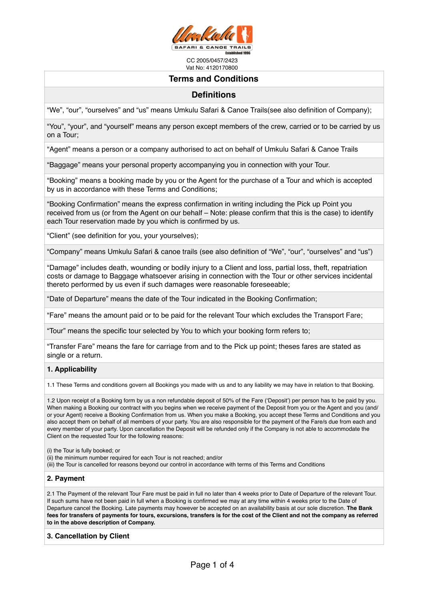

# **Terms and Conditions**

# **Definitions**

"We", "our", "ourselves" and "us" means Umkulu Safari & Canoe Trails(see also definition of Company);

"You", "your", and "yourself" means any person except members of the crew, carried or to be carried by us on a Tour;

"Agent" means a person or a company authorised to act on behalf of Umkulu Safari & Canoe Trails

"Baggage" means your personal property accompanying you in connection with your Tour.

"Booking" means a booking made by you or the Agent for the purchase of a Tour and which is accepted by us in accordance with these Terms and Conditions;

"Booking Confirmation" means the express confirmation in writing including the Pick up Point you received from us (or from the Agent on our behalf – Note: please confirm that this is the case) to identify each Tour reservation made by you which is confirmed by us.

"Client" (see definition for you, your yourselves);

"Company" means Umkulu Safari & canoe trails (see also definition of "We", "our", "ourselves" and "us")

"Damage" includes death, wounding or bodily injury to a Client and loss, partial loss, theft, repatriation costs or damage to Baggage whatsoever arising in connection with the Tour or other services incidental thereto performed by us even if such damages were reasonable foreseeable;

"Date of Departure" means the date of the Tour indicated in the Booking Confirmation;

"Fare" means the amount paid or to be paid for the relevant Tour which excludes the Transport Fare;

"Tour" means the specific tour selected by You to which your booking form refers to;

"Transfer Fare" means the fare for carriage from and to the Pick up point; theses fares are stated as single or a return.

# **1. Applicability**

1.1 These Terms and conditions govern all Bookings you made with us and to any liability we may have in relation to that Booking.

1.2 Upon receipt of a Booking form by us a non refundable deposit of 50% of the Fare ('Deposit') per person has to be paid by you. When making a Booking our contract with you begins when we receive payment of the Deposit from you or the Agent and you (and/ or your Agent) receive a Booking Confirmation from us. When you make a Booking, you accept these Terms and Conditions and you also accept them on behalf of all members of your party. You are also responsible for the payment of the Fare/s due from each and every member of your party. Upon cancellation the Deposit will be refunded only if the Company is not able to accommodate the Client on the requested Tour for the following reasons:

(i) the Tour is fully booked; or

(ii) the minimum number required for each Tour is not reached; and/or

(iii) the Tour is cancelled for reasons beyond our control in accordance with terms of this Terms and Conditions

# **2. Payment**

2.1 The Payment of the relevant Tour Fare must be paid in full no later than 4 weeks prior to Date of Departure of the relevant Tour. If such sums have not been paid in full when a Booking is confirmed we may at any time within 4 weeks prior to the Date of Departure cancel the Booking. Late payments may however be accepted on an availability basis at our sole discretion. **The Bank fees for transfers of payments for tours, excursions, transfers is for the cost of the Client and not the company as referred to in the above description of Company.** 

**3. Cancellation by Client**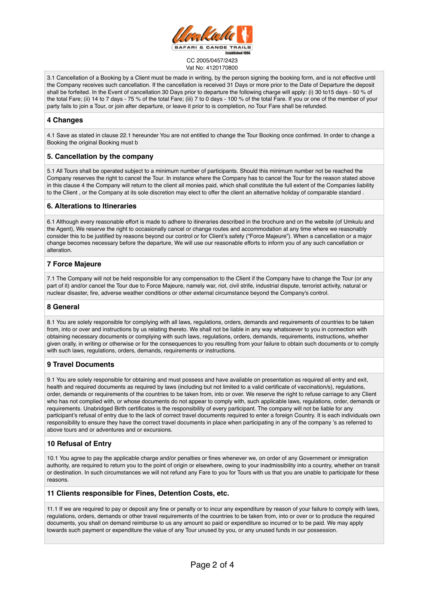

3.1 Cancellation of a Booking by a Client must be made in writing, by the person signing the booking form, and is not effective until the Company receives such cancellation. If the cancellation is received 31 Days or more prior to the Date of Departure the deposit shall be forfeited. In the Event of cancellation 30 Days prior to departure the following charge will apply: (i) 30 to15 days - 50 % of the total Fare; (ii) 14 to 7 days - 75 % of the total Fare; (iii) 7 to 0 days - 100 % of the total Fare. If you or one of the member of your party fails to join a Tour, or join after departure, or leave it prior to is completion, no Tour Fare shall be refunded.

## **4 Changes**

4.1 Save as stated in clause 22.1 hereunder You are not entitled to change the Tour Booking once confirmed. In order to change a Booking the original Booking must b

## **5. Cancellation by the company**

5.1 All Tours shall be operated subject to a minimum number of participants. Should this minimum number not be reached the Company reserves the right to cancel the Tour. In instance where the Company has to cancel the Tour for the reason stated above in this clause 4 the Company will return to the client all monies paid, which shall constitute the full extent of the Companies liability to the Client , or the Company at its sole discretion may elect to offer the client an alternative holiday of comparable standard .

## **6. Alterations to Itineraries**

6.1 Although every reasonable effort is made to adhere to itineraries described in the brochure and on the website (of Umkulu and the Agent), We reserve the right to occasionally cancel or change routes and accommodation at any time where we reasonably consider this to be justified by reasons beyond our control or for Client's safety ("Force Majeure"). When a cancellation or a major change becomes necessary before the departure, We will use our reasonable efforts to inform you of any such cancellation or alteration.

# **7 Force Majeure**

7.1 The Company will not be held responsible for any compensation to the Client if the Company have to change the Tour (or any part of it) and/or cancel the Tour due to Force Majeure, namely war, riot, civil strife, industrial dispute, terrorist activity, natural or nuclear disaster, fire, adverse weather conditions or other external circumstance beyond the Company's control.

# **8 General**

8.1 You are solely responsible for complying with all laws, regulations, orders, demands and requirements of countries to be taken from, into or over and instructions by us relating thereto. We shall not be liable in any way whatsoever to you in connection with obtaining necessary documents or complying with such laws, regulations, orders, demands, requirements, instructions, whether given orally, in writing or otherwise or for the consequences to you resulting from your failure to obtain such documents or to comply with such laws, regulations, orders, demands, requirements or instructions.

# **9 Travel Documents**

9.1 You are solely responsible for obtaining and must possess and have available on presentation as required all entry and exit, health and required documents as required by laws (including but not limited to a valid certificate of vaccination/s), regulations, order, demands or requirements of the countries to be taken from, into or over. We reserve the right to refuse carriage to any Client who has not complied with, or whose documents do not appear to comply with, such applicable laws, regulations, order, demands or requirements. Unabridged Birth certificates is the responsibility of every participant. The company will not be liable for any participant's refusal of entry due to the lack of correct travel documents required to enter a foreign Country. It is each individuals own responsibility to ensure they have the correct travel documents in place when participating in any of the company 's as referred to above tours and or adventures and or excursions.

# **10 Refusal of Entry**

10.1 You agree to pay the applicable charge and/or penalties or fines whenever we, on order of any Government or immigration authority, are required to return you to the point of origin or elsewhere, owing to your inadmissibility into a country, whether on transit or destination. In such circumstances we will not refund any Fare to you for Tours with us that you are unable to participate for these reasons.

## **11 Clients responsible for Fines, Detention Costs, etc.**

11.1 If we are required to pay or deposit any fine or penalty or to incur any expenditure by reason of your failure to comply with laws, regulations, orders, demands or other travel requirements of the countries to be taken from, into or over or to produce the required documents, you shall on demand reimburse to us any amount so paid or expenditure so incurred or to be paid. We may apply towards such payment or expenditure the value of any Tour unused by you, or any unused funds in our possession.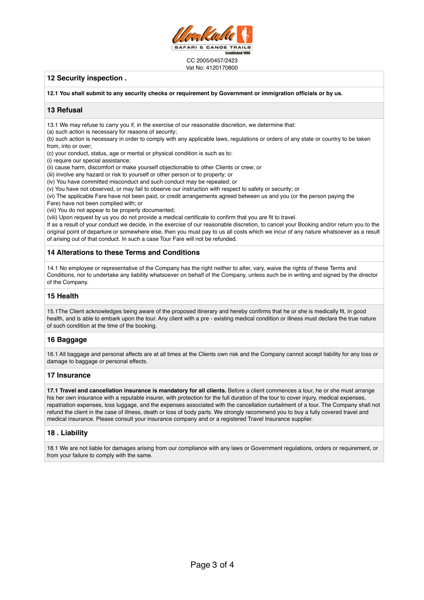

# **12 Security inspection .**

**12.1 You shall submit to any security checks or requirement by Government or immigration officials or by us.**

## **13 Refusal**

13.1 We may refuse to carry you if, in the exercise of our reasonable discretion, we determine that:

(a) such action is necessary for reasons of security;

(b) such action is necessary in order to comply with any applicable laws, regulations or orders of any state or country to be taken from, into or over;

(c) your conduct, status, age or mental or physical condition is such as to:

(i) require our special assistance;

(ii) cause harm, discomfort or make yourself objectionable to other Clients or crew; or

(iii) involve any hazard or risk to yourself or other person or to property; or

(iv) You have committed misconduct and such conduct may be repeated; or

(v) You have not observed, or may fail to observe our instruction with respect to safety or security; or

(vi) The applicable Fare have not been paid, or credit arrangements agreed between us and you (or the person paying the

Fare) have not been complied with; or

(vii) You do not appear to be properly documented;

(viii) Upon request by us you do not provide a medical certificate to confirm that you are fit to travel.

If as a result of your conduct we decide, in the exercise of our reasonable discretion, to cancel your Booking and/or return you to the original point of departure or somewhere else, then you must pay to us all costs which we incur of any nature whatsoever as a result of arising out of that conduct. In such a case Tour Fare will not be refunded.

# **14 Alterations to these Terms and Conditions**

14.1 No employee or representative of the Company has the right neither to alter, vary, waive the rights of these Terms and Conditions, nor to undertake any liability whatsoever on behalf of the Company, unless such be in writing and signed by the director of the Company.

## **15 Health**

15.1The Client acknowledges being aware of the proposed itinerary and hereby confirms that he or she is medically fit, in good health, and is able to embark upon the tour. Any client with a pre - existing medical condition or illness must declare the true nature of such condition at the time of the booking.

# **16 Baggage**

16.1 All baggage and personal affects are at all times at the Clients own risk and the Company cannot accept liability for any loss or damage to baggage or personal effects.

## **17 Insurance**

**17.1 Travel and cancellation insurance is mandatory for all clients.** Before a client commences a tour, he or she must arrange his her own insurance with a reputable insurer, with protection for the full duration of the tour to cover injury, medical expenses, repatriation expenses, loss luggage, and the expenses associated with the cancellation curtailment of a tour. The Company shall not refund the client in the case of illness, death or loss of body parts. We strongly recommend you to buy a fully covered travel and medical insurance. Please consult your insurance company and or a registered Travel Insurance supplier.

# **18 . Liability**

18.1 We are not liable for damages arising from our compliance with any laws or Government regulations, orders or requirement, or from your failure to comply with the same.